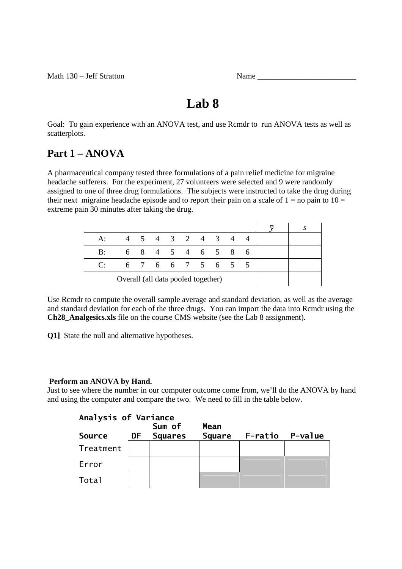Math  $130 - \text{Jeff}$  Stratton  $\blacksquare$ 

| Name |  |
|------|--|
|      |  |

# **Lab 8**

Goal: To gain experience with an ANOVA test, and use Rcmdr to run ANOVA tests as well as scatterplots.

## **Part 1 – ANOVA**

A pharmaceutical company tested three formulations of a pain relief medicine for migraine headache sufferers. For the experiment, 27 volunteers were selected and 9 were randomly assigned to one of three drug formulations. The subjects were instructed to take the drug during their next migraine headache episode and to report their pain on a scale of  $1 =$  no pain to  $10 =$ extreme pain 30 minutes after taking the drug.

| $A^{\cdot}$                        |  |  |  |  |  |  | 4 5 4 3 2 4 3 4 |  |    |  |
|------------------------------------|--|--|--|--|--|--|-----------------|--|----|--|
| B:                                 |  |  |  |  |  |  | 6 8 4 5 4 6 5 8 |  | -6 |  |
| $\Gamma$                           |  |  |  |  |  |  | 6 7 6 6 7 5 6 5 |  |    |  |
| Overall (all data pooled together) |  |  |  |  |  |  |                 |  |    |  |

Use Rcmdr to compute the overall sample average and standard deviation, as well as the average and standard deviation for each of the three drugs. You can import the data into Rcmdr using the **Ch28\_Analgesics.xls** file on the course CMS website (see the Lab 8 assignment).

**Q1]** State the null and alternative hypotheses.

#### **Perform an ANOVA by Hand.**

Just to see where the number in our computer outcome come from, we'll do the ANOVA by hand and using the computer and compare the two. We need to fill in the table below.

| Analysis of Variance |    | Sum of         | Mean          |         |         |
|----------------------|----|----------------|---------------|---------|---------|
| <b>Source</b>        | DF | <b>Squares</b> | <b>Square</b> | F-ratio | P-value |
| Treatment            |    |                |               |         |         |
| Error                |    |                |               |         |         |
| Total                |    |                |               |         |         |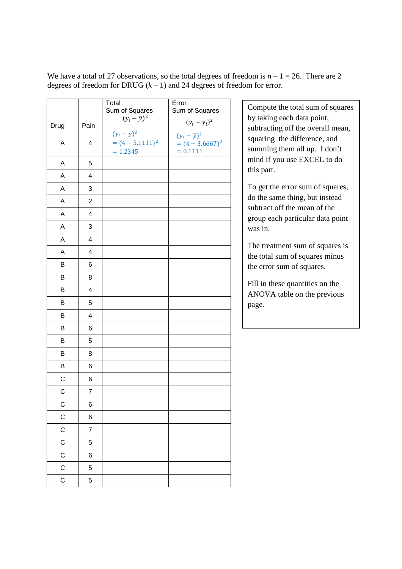We have a total of 27 observations, so the total degrees of freedom is  $n - 1 = 26$ . There are 2 degrees of freedom for DRUG  $(k - 1)$  and 24 degrees of freedom for error.

|             |                | Total                    | Error                      |                                                                |
|-------------|----------------|--------------------------|----------------------------|----------------------------------------------------------------|
|             |                | Sum of Squares           | Sum of Squares             | Compute the total sum of squares                               |
| Drug        | Pain           | $(y_i - \overline{y})^2$ | $(y_i - \overline{y}_i)^2$ | by taking each data point,                                     |
|             |                | $(y_i - \overline{y})^2$ | $(y_i-\bar{y})^2$          | subtracting off the overall mean,                              |
| A           | 4              | $=(4-5.1111)^2$          | $=(4-3.6667)^2$            | squaring the difference, and                                   |
|             |                | $= 1.2345$               | $= 0.1111$                 | summing them all up. I don't                                   |
| A           | 5              |                          |                            | mind if you use EXCEL to do                                    |
| A           | 4              |                          |                            | this part.                                                     |
| A           | 3              |                          |                            | To get the error sum of squares,                               |
| A           | $\overline{2}$ |                          |                            | do the same thing, but instead<br>subtract off the mean of the |
| A           | 4              |                          |                            | group each particular data point                               |
| A           | 3              |                          |                            | was in.                                                        |
| A           | 4              |                          |                            | The treatment sum of squares is                                |
| A           | 4              |                          |                            | the total sum of squares minus                                 |
| B           | 6              |                          |                            | the error sum of squares.                                      |
| B           | 8              |                          |                            | Fill in these quantities on the                                |
| B           | 4              |                          |                            | ANOVA table on the previous                                    |
| B           | 5              |                          |                            | page.                                                          |
| B           | 4              |                          |                            |                                                                |
| B           | 6              |                          |                            |                                                                |
| B           | 5              |                          |                            |                                                                |
| B           | 8              |                          |                            |                                                                |
| B           | 6              |                          |                            |                                                                |
| C           | 6              |                          |                            |                                                                |
| $\mathsf C$ | $\overline{7}$ |                          |                            |                                                                |
| С           | 6              |                          |                            |                                                                |
| $\mathsf C$ | 6              |                          |                            |                                                                |
| $\mathsf C$ | $\overline{7}$ |                          |                            |                                                                |
| $\mathsf C$ | 5              |                          |                            |                                                                |
| $\mathsf C$ | 6              |                          |                            |                                                                |
| C           | 5              |                          |                            |                                                                |
| C           | 5              |                          |                            |                                                                |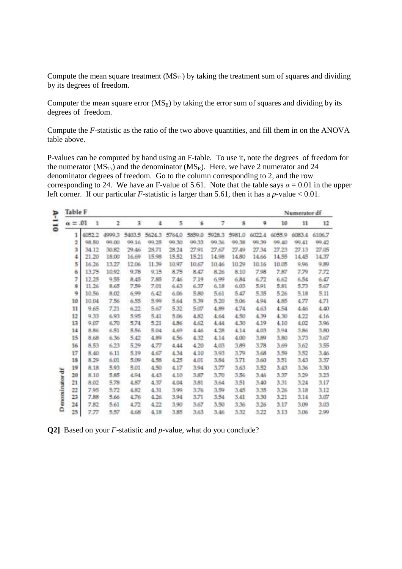Compute the mean square treatment  $(MS_T)$  by taking the treatment sum of squares and dividing by its degrees of freedom.

Computer the mean square error  $(MS_E)$  by taking the error sum of squares and dividing by its degrees of freedom.

Compute the *F*-statistic as the ratio of the two above quantities, and fill them in on the ANOVA table above.

P-values can be computed by hand using an F-table. To use it, note the degrees of freedom for the numerator  $(MS_{Tr})$  and the denominator  $(MS_{E})$ . Here, we have 2 numerator and 24 denominator degrees of freedom. Go to the column corresponding to 2, and the row corresponding to 24. We have an F-value of 5.61. Note that the table says  $\alpha = 0.01$  in the upper left corner. If our particular *F*-statistic is larger than 5.61, then it has a *p*-value < 0.01.

| ۴                        | <b>Table F</b> |        |       |        |        |        |        |        |        |        |        | Numerator df |        |
|--------------------------|----------------|--------|-------|--------|--------|--------|--------|--------|--------|--------|--------|--------------|--------|
| $\overline{\phantom{a}}$ | $\alpha = .01$ | 1      | 2     | 3      | 4      | 5      | ö.     | 7      | 8      | 9      | 10     | 11           | 12     |
| $\circ$                  | 1              | 4052.2 | 49993 | 5483.5 | 5624.3 | 5764.0 | 5859.0 | 5928.3 | 5981.0 | 6022.4 | 6055.9 | 6083.4       | 6106.7 |
|                          | 2              | 98.50  | 99.00 | 00.16  | 99.25  | 99.30  | 99.33  | 99.36  | 99.38  | 99.39  | 99.40  | 99.41        | 09.42  |
|                          | э              | 34.12  | 30.82 | 29.46  | 28.71  | 28.24  | 27.91  | 27.67  | 27.49  | 27.34  | 27.23  | 27.13        | 27.05  |
|                          | 4              | 21.20  | 18.00 | 16.69  | 15.98  | 15.52  | 15.21  | 14.98  | 14.80  | 14.66  | 14.55  | 14.45        | 14.37  |
|                          | 5              | 16.26  | 13.27 | 12.06  | 11.39  | 10.97  | 10.67  | 10.46  | 10.29  | 10.16  | 10.05  | 9,96         | 9,89   |
|                          | 苗              | 13.75  | 10.92 | 9.78   | 9,15   | 8.75   | 8.47   | 8.26   | 8.10   | 7.98   | 7.87   | 7.79         | 7.72   |
|                          | y              | 17.25  | 9.55  | 8.45   | 7.85   | 7.46   | 7.19   | 6.99   | 6.84   | 6.72   | 6.62   | 6.54         | 6.47   |
|                          | 8              | 11.26  | 8.65  | 7.59   | 7.01   | 6,63   | 6.37   | 6.18   | 6.03   | 5.91   | 5.81   | 5.73         | 5.67   |
|                          | 9              | 10.56  | 8.02  | 6.99   | 6.42   | 6.06   | 5.80   | 5.61   | 5.47   | 5.35   | 5.26   | 5.18         | 5.11   |
|                          | 10             | 10.04  | 7.56  | 6.55   | 5,99   | 5.64   | 5.39   | 5.20   | 5.06   | 4.94   | 4.85   | 4.77         | 4.71   |
|                          | 11             | 9.65   | 7.21  | 6.22   | 5.67   | 5.32   | 5.07   | 4.89   | 4.74   | 4.63   | 4.54   | 4.46         | 4.40   |
|                          | 12             | 9.33   | 6.93  | 5.95   | 5.41   | 5.06   | 4.82   | 4.64   | 4.50   | 4.39   | 4.30   | 4.22         | 4.16   |
|                          | 13             | 9.07   | 6.70  | 5.74   | 5.21   | 4.86   | 4.62   | 4.44   | 4.38   | 4.19   | 4.10   | 4.02         | 3.96   |
|                          | 14             | 8.86   | 6.51  | 5.56   | 5.04   | 4.69   | 4.46   | 4.28   | 4.14   | 4.03   | 3.94   | 3.86         | 3.80   |
|                          | 15             | 8.68   | 6.36  | 5.42   | 4.89   | 4.56   | 4.32   | 4.14   | 4.00   | 1.89   | 3.80   | 3.73         | 3.67   |
|                          | 16             | 8.53   | 6.23  | 5.29   | 4.77   | 4.44   | 4.20   | 4.03   | 3.89   | 3.78   | 3.69   | 3.62         | 3.55   |
|                          | 17             | 8.40   | 6.11  | 5.19   | 4.67   | 4.34   | 4.10   | 3,93   | 3.79   | 3.68   | 3.59   | 3.52         | 3.46   |
|                          | 15             | 8.29   | 6.01  | 5.09   | 4.58   | 4.25   | 4.01   | 3.84   | 3.71   | 3.60   | 3.51   | 3.43         | 3.37   |
|                          | 19             | 8.18   | 5.93  | 5.01   | 4.50   | 4.17   | 3.94   | 3.77   | 3.63   | 3.52   | 3.43   | 3.36         | 3.30   |
|                          | 20             | 8.10   | 5.85  | 4.94   | 4.43   | 4.10   | 3.87   | 3.70   | 3.56   | 3.46   | 3.37   | 3.29         | 3.23   |
|                          | 21             | 8.02   | 5.78  | 4.57   | 4.37   | 4.04   | 3.81   | 3.64   | 3.51   | 3.40   | 3.31   | 3.24         | 3.17   |
|                          | 22             | 7.95   | 5.72  | 4.82   | 4.31   | 3.99   | 3.76   | 3.59   | 3.45   | 3.35   | 3.26   | 3.18         | 3,12   |
| enominator df            | 23             | 7.88   | 5.66  | 4.76   | 4.26   | 3.94   | 3.71   | 3.54   | 3.41   | 3.30   | 3.21   | 3.14         | 3.07   |
|                          | 24             | 7.82   | 5.61  | 4.72   | 4.22   | 3.90   | 3.67   | 3.50   | 3.36   | 3.26   | 3.17   | 3.09         | 3.03   |
| ۵                        | 25             | 7.77   | 5.57  | 4.68   | 4.18   | 3.85   | 3.63   | 3.46   | 3.32   | 3.22   | 3.13   | 3.06         | 2.99   |

**Q2]** Based on your *F*-statistic and *p*-value, what do you conclude?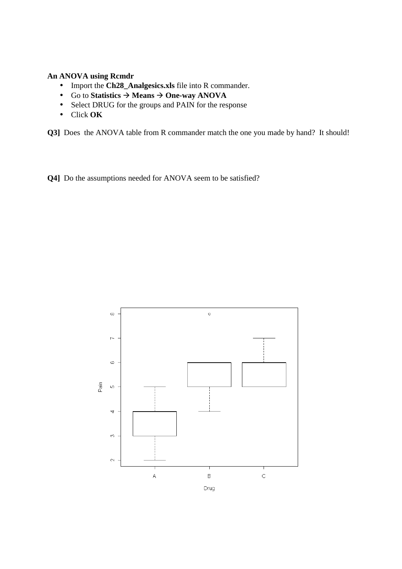#### **An ANOVA using Rcmdr**

- Import the **Ch28\_Analgesics.xls** file into R commander.
- Go to **Statistics**  $\rightarrow$  **Means**  $\rightarrow$  **One-way ANOVA**
- Select DRUG for the groups and PAIN for the response
- Click **OK**

**Q3]** Does the ANOVA table from R commander match the one you made by hand? It should!

**Q4]** Do the assumptions needed for ANOVA seem to be satisfied?

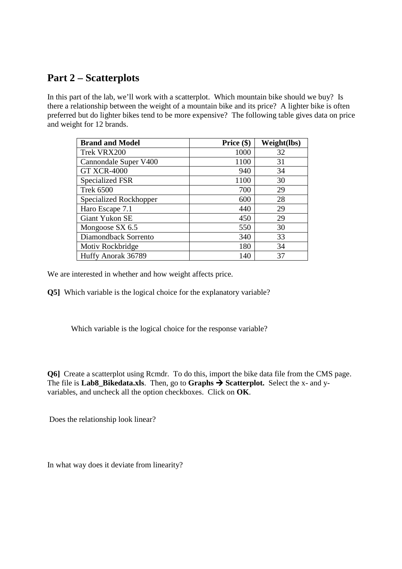# **Part 2 – Scatterplots**

In this part of the lab, we'll work with a scatterplot. Which mountain bike should we buy? Is there a relationship between the weight of a mountain bike and its price? A lighter bike is often preferred but do lighter bikes tend to be more expensive? The following table gives data on price and weight for 12 brands.

| <b>Brand and Model</b> | Price $(\$)$ | Weight(lbs) |
|------------------------|--------------|-------------|
| Trek VRX200            | 1000         | 32          |
| Cannondale Super V400  | 1100         | 31          |
| <b>GT XCR-4000</b>     | 940          | 34          |
| Specialized FSR        | 1100         | 30          |
| <b>Trek 6500</b>       | 700          | 29          |
| Specialized Rockhopper | 600          | 28          |
| Haro Escape 7.1        | 440          | 29          |
| Giant Yukon SE         | 450          | 29          |
| Mongoose SX 6.5        | 550          | 30          |
| Diamondback Sorrento   | 340          | 33          |
| Motiv Rockbridge       | 180          | 34          |
| Huffy Anorak 36789     | 140          | 37          |

We are interested in whether and how weight affects price.

**Q5]** Which variable is the logical choice for the explanatory variable?

Which variable is the logical choice for the response variable?

**Q6]** Create a scatterplot using Rcmdr. To do this, import the bike data file from the CMS page. The file is **Lab8\_Bikedata.xls**. Then, go to **Graphs**  $\rightarrow$  **Scatterplot.** Select the x- and yvariables, and uncheck all the option checkboxes. Click on **OK**.

Does the relationship look linear?

In what way does it deviate from linearity?